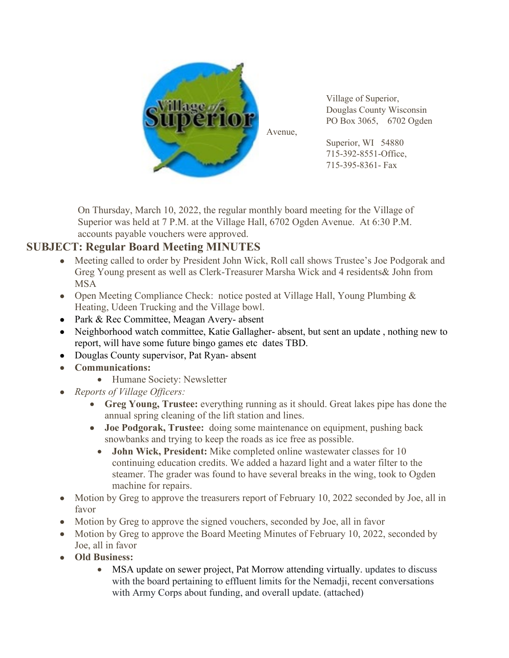

Village of Superior, Douglas County Wisconsin PO Box 3065, 6702 Ogden

Superior, WI 54880 715-392-8551-Office, 715-395-8361- Fax

On Thursday, March 10, 2022, the regular monthly board meeting for the Village of Superior was held at 7 P.M. at the Village Hall, 6702 Ogden Avenue. At 6:30 P.M. accounts payable vouchers were approved.

# **SUBJECT: Regular Board Meeting MINUTES**

- Meeting called to order by President John Wick, Roll call shows Trustee's Joe Podgorak and Greg Young present as well as Clerk-Treasurer Marsha Wick and 4 residents& John from MSA
- Open Meeting Compliance Check: notice posted at Village Hall, Young Plumbing & Heating, Udeen Trucking and the Village bowl.
- Park & Rec Committee, Meagan Avery- absent
- Neighborhood watch committee, Katie Gallagher- absent, but sent an update, nothing new to report, will have some future bingo games etc dates TBD.
- Douglas County supervisor, Pat Ryan-absent
- **Communications:** 
	- Humane Society: Newsletter
- *Reports of Village Officers:* 
	- **Greg Young, Trustee:** everything running as it should. Great lakes pipe has done the annual spring cleaning of the lift station and lines.
	- **Joe Podgorak, Trustee:** doing some maintenance on equipment, pushing back snowbanks and trying to keep the roads as ice free as possible.
		- **John Wick, President:** Mike completed online wastewater classes for 10 continuing education credits. We added a hazard light and a water filter to the steamer. The grader was found to have several breaks in the wing, took to Ogden machine for repairs.
- Motion by Greg to approve the treasurers report of February 10, 2022 seconded by Joe, all in favor
- Motion by Greg to approve the signed vouchers, seconded by Joe, all in favor
- Motion by Greg to approve the Board Meeting Minutes of February 10, 2022, seconded by Joe, all in favor
- **Old Business:** 
	- MSA update on sewer project, Pat Morrow attending virtually. updates to discuss with the board pertaining to effluent limits for the Nemadji, recent conversations with Army Corps about funding, and overall update. (attached)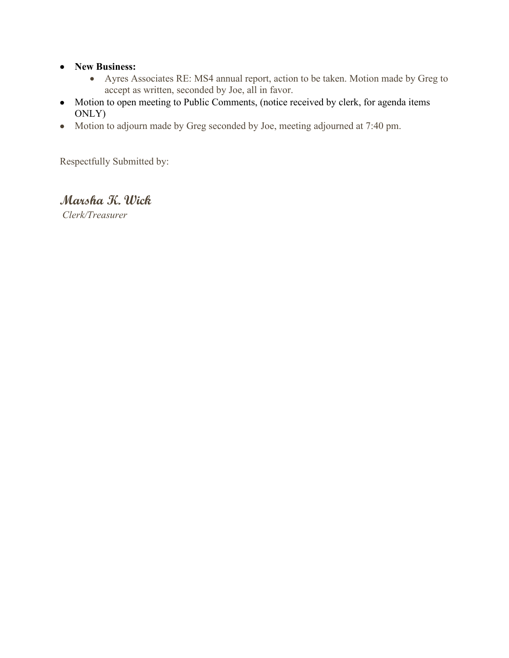#### • **New Business:**

- Ayres Associates RE: MS4 annual report, action to be taken. Motion made by Greg to accept as written, seconded by Joe, all in favor.
- Motion to open meeting to Public Comments, (notice received by clerk, for agenda items ONLY)
- Motion to adjourn made by Greg seconded by Joe, meeting adjourned at 7:40 pm.

Respectfully Submitted by:

# **Marsha K. Wick**

*Clerk/Treasurer*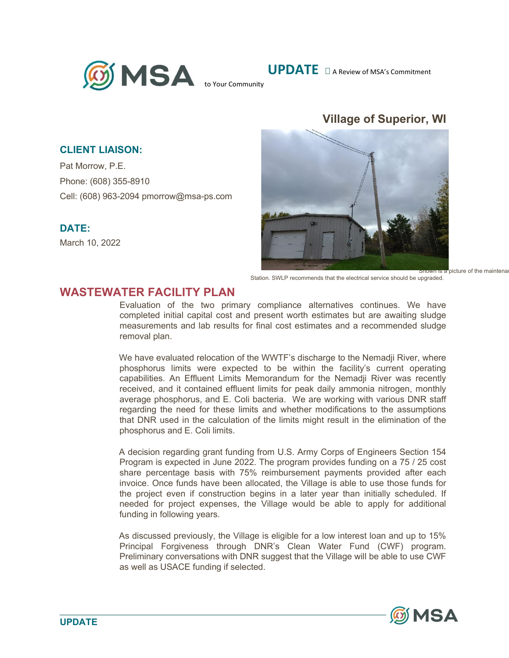

**UPDATE**  $\Box$  A Review of MSA's Commitment

# **Village of Superior, WI**



Station. SWLP recommends that the electrical service should be upgraded.

#### **CLIENT LIAISON:**

Pat Morrow, P.E. Phone: (608) 355-8910 Cell: (608) 963-2094 pmorrow@msa-ps.com

#### **DATE:**

March 10, 2022

### **WASTEWATER FACILITY PLAN**

Evaluation of the two primary compliance alternatives continues. We have completed initial capital cost and present worth estimates but are awaiting sludge measurements and lab results for final cost estimates and a recommended sludge removal plan.

We have evaluated relocation of the WWTF's discharge to the Nemadji River, where phosphorus limits were expected to be within the facility's current operating capabilities. An Effluent Limits Memorandum for the Nemadji River was recently received, and it contained effluent limits for peak daily ammonia nitrogen, monthly average phosphorus, and E. Coli bacteria. We are working with various DNR staff regarding the need for these limits and whether modifications to the assumptions that DNR used in the calculation of the limits might result in the elimination of the phosphorus and E. Coli limits.

A decision regarding grant funding from U.S. Army Corps of Engineers Section 154 Program is expected in June 2022. The program provides funding on a 75 / 25 cost share percentage basis with 75% reimbursement payments provided after each invoice. Once funds have been allocated, the Village is able to use those funds for the project even if construction begins in a later year than initially scheduled. If needed for project expenses, the Village would be able to apply for additional funding in following years.

As discussed previously, the Village is eligible for a low interest loan and up to 15% Principal Forgiveness through DNR's Clean Water Fund (CWF) program. Preliminary conversations with DNR suggest that the Village will be able to use CWF as well as USACE funding if selected.